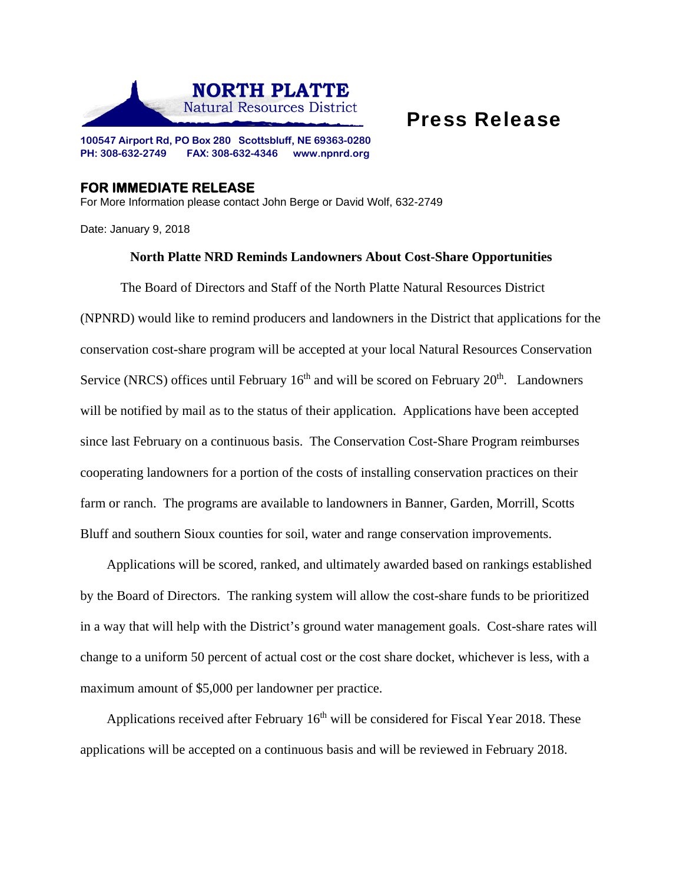

## Press Release

**100547 Airport Rd, PO Box 280 Scottsbluff, NE 69363-0280 PH: 308-632-2749 FAX: 308-632-4346 www.npnrd.org** 

## **FOR IMMEDIATE RELEASE**

For More Information please contact John Berge or David Wolf, 632-2749

Date: January 9, 2018

## **North Platte NRD Reminds Landowners About Cost-Share Opportunities**

 The Board of Directors and Staff of the North Platte Natural Resources District (NPNRD) would like to remind producers and landowners in the District that applications for the conservation cost-share program will be accepted at your local Natural Resources Conservation Service (NRCS) offices until February  $16<sup>th</sup>$  and will be scored on February  $20<sup>th</sup>$ . Landowners will be notified by mail as to the status of their application. Applications have been accepted since last February on a continuous basis. The Conservation Cost-Share Program reimburses cooperating landowners for a portion of the costs of installing conservation practices on their farm or ranch. The programs are available to landowners in Banner, Garden, Morrill, Scotts Bluff and southern Sioux counties for soil, water and range conservation improvements.

Applications will be scored, ranked, and ultimately awarded based on rankings established by the Board of Directors. The ranking system will allow the cost-share funds to be prioritized in a way that will help with the District's ground water management goals. Cost-share rates will change to a uniform 50 percent of actual cost or the cost share docket, whichever is less, with a maximum amount of \$5,000 per landowner per practice.

Applications received after February  $16<sup>th</sup>$  will be considered for Fiscal Year 2018. These applications will be accepted on a continuous basis and will be reviewed in February 2018.